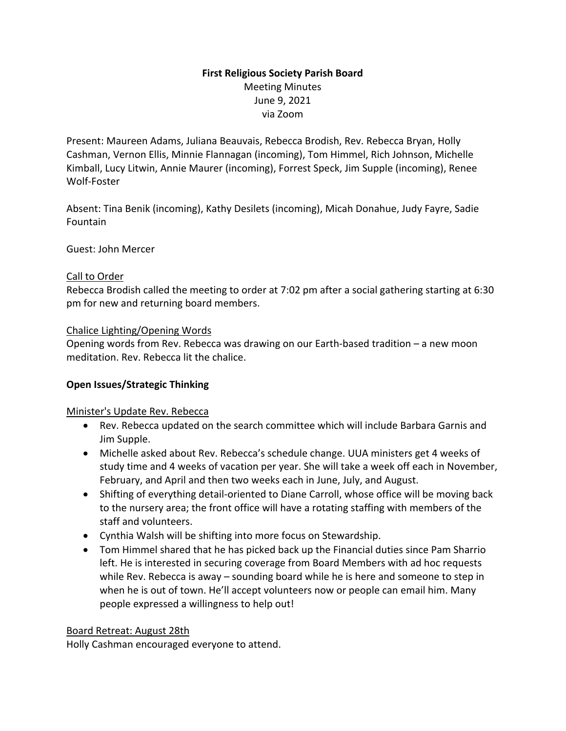# **First Religious Society Parish Board** Meeting Minutes June 9, 2021 via Zoom

Present: Maureen Adams, Juliana Beauvais, Rebecca Brodish, Rev. Rebecca Bryan, Holly Cashman, Vernon Ellis, Minnie Flannagan (incoming), Tom Himmel, Rich Johnson, Michelle Kimball, Lucy Litwin, Annie Maurer (incoming), Forrest Speck, Jim Supple (incoming), Renee Wolf-Foster

Absent: Tina Benik (incoming), Kathy Desilets (incoming), Micah Donahue, Judy Fayre, Sadie Fountain

Guest: John Mercer

#### Call to Order

Rebecca Brodish called the meeting to order at 7:02 pm after a social gathering starting at 6:30 pm for new and returning board members.

### Chalice Lighting/Opening Words

Opening words from Rev. Rebecca was drawing on our Earth-based tradition – a new moon meditation. Rev. Rebecca lit the chalice.

## **Open Issues/Strategic Thinking**

#### Minister's Update Rev. Rebecca

- Rev. Rebecca updated on the search committee which will include Barbara Garnis and Jim Supple.
- Michelle asked about Rev. Rebecca's schedule change. UUA ministers get 4 weeks of study time and 4 weeks of vacation per year. She will take a week off each in November, February, and April and then two weeks each in June, July, and August.
- Shifting of everything detail-oriented to Diane Carroll, whose office will be moving back to the nursery area; the front office will have a rotating staffing with members of the staff and volunteers.
- Cynthia Walsh will be shifting into more focus on Stewardship.
- Tom Himmel shared that he has picked back up the Financial duties since Pam Sharrio left. He is interested in securing coverage from Board Members with ad hoc requests while Rev. Rebecca is away – sounding board while he is here and someone to step in when he is out of town. He'll accept volunteers now or people can email him. Many people expressed a willingness to help out!

#### Board Retreat: August 28th

Holly Cashman encouraged everyone to attend.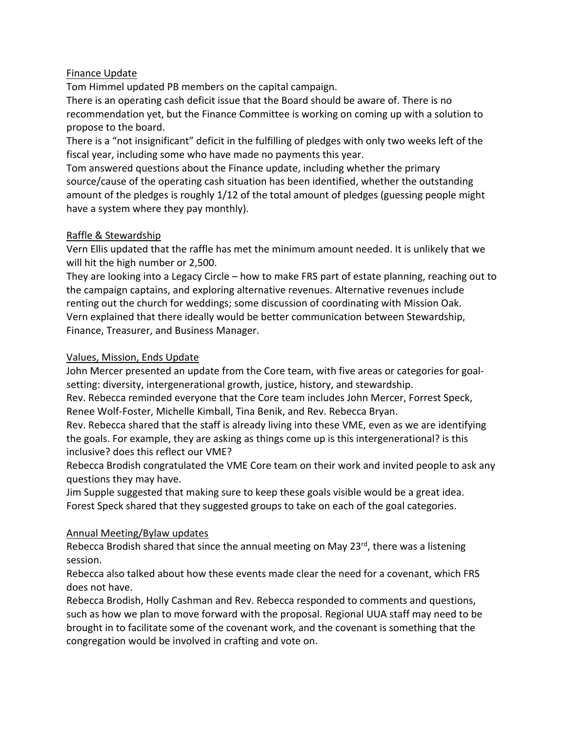## Finance Update

Tom Himmel updated PB members on the capital campaign.

There is an operating cash deficit issue that the Board should be aware of. There is no recommendation yet, but the Finance Committee is working on coming up with a solution to propose to the board.

There is a "not insignificant" deficit in the fulfilling of pledges with only two weeks left of the fiscal year, including some who have made no payments this year.

Tom answered questions about the Finance update, including whether the primary source/cause of the operating cash situation has been identified, whether the outstanding amount of the pledges is roughly 1/12 of the total amount of pledges (guessing people might have a system where they pay monthly).

### Raffle & Stewardship

Vern Ellis updated that the raffle has met the minimum amount needed. It is unlikely that we will hit the high number or 2,500.

They are looking into a Legacy Circle – how to make FRS part of estate planning, reaching out to the campaign captains, and exploring alternative revenues. Alternative revenues include renting out the church for weddings; some discussion of coordinating with Mission Oak. Vern explained that there ideally would be better communication between Stewardship, Finance, Treasurer, and Business Manager.

### Values, Mission, Ends Update

John Mercer presented an update from the Core team, with five areas or categories for goalsetting: diversity, intergenerational growth, justice, history, and stewardship.

Rev. Rebecca reminded everyone that the Core team includes John Mercer, Forrest Speck, Renee Wolf-Foster, Michelle Kimball, Tina Benik, and Rev. Rebecca Bryan.

Rev. Rebecca shared that the staff is already living into these VME, even as we are identifying the goals. For example, they are asking as things come up is this intergenerational? is this inclusive? does this reflect our VME?

Rebecca Brodish congratulated the VME Core team on their work and invited people to ask any questions they may have.

Jim Supple suggested that making sure to keep these goals visible would be a great idea. Forest Speck shared that they suggested groups to take on each of the goal categories.

## Annual Meeting/Bylaw updates

Rebecca Brodish shared that since the annual meeting on May 23rd, there was a listening session.

Rebecca also talked about how these events made clear the need for a covenant, which FRS does not have.

Rebecca Brodish, Holly Cashman and Rev. Rebecca responded to comments and questions, such as how we plan to move forward with the proposal. Regional UUA staff may need to be brought in to facilitate some of the covenant work, and the covenant is something that the congregation would be involved in crafting and vote on.